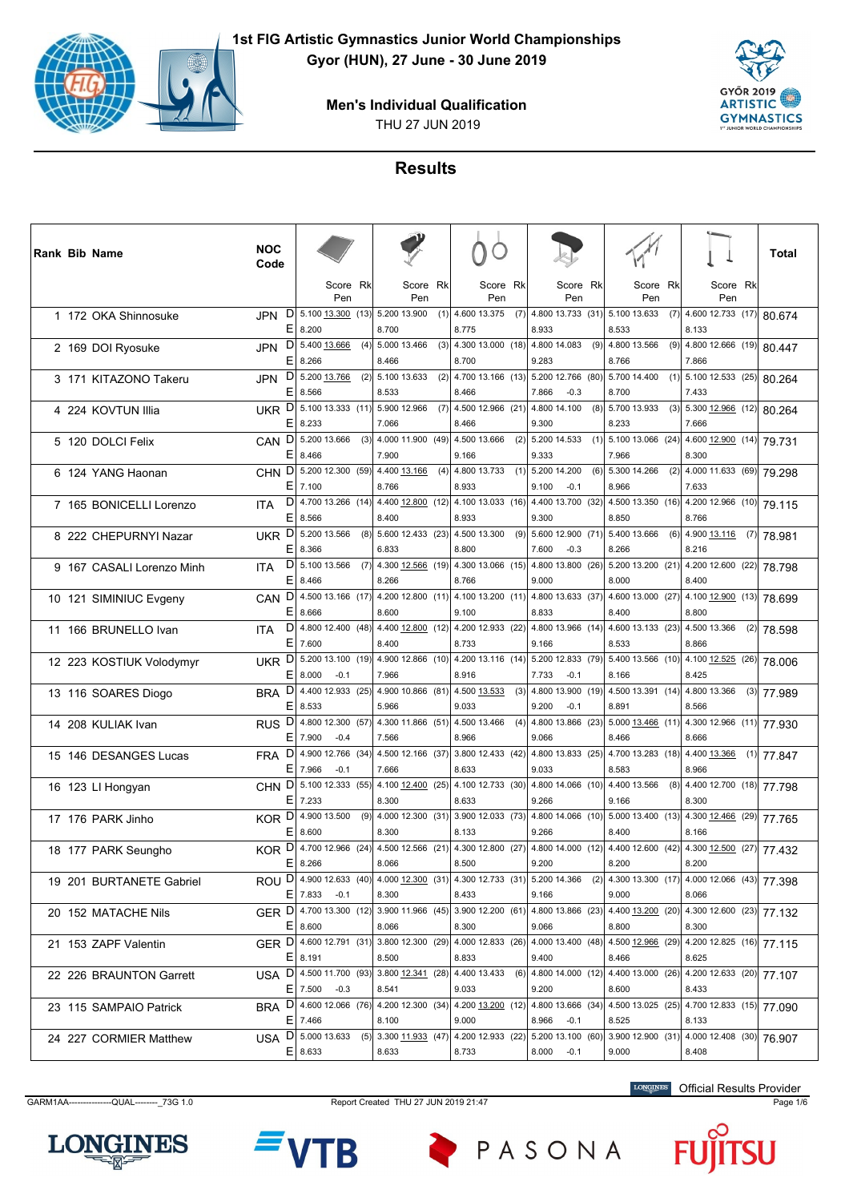



# **Results**

| Score Rk<br>Score Rk<br>Score Rk<br>Score Rk<br>Score Rk<br>Score Rk<br>Pen<br>Pen<br>Pen<br>Pen<br>Pen<br>Pen<br>D<br>5.100 13.300 (13) 5.200 13.900<br>4.600 13.375 (7)<br>4.800 13.733 (31)<br>5.100 13.633<br>4.600 12.733 (17)<br>(1)<br>(7)<br>1 172 OKA Shinnosuke<br>JPN<br>Е<br>8.200<br>8.700<br>8.775<br>8.933<br>8.533<br>8.133 | 80.674 |
|---------------------------------------------------------------------------------------------------------------------------------------------------------------------------------------------------------------------------------------------------------------------------------------------------------------------------------------------|--------|
|                                                                                                                                                                                                                                                                                                                                             |        |
|                                                                                                                                                                                                                                                                                                                                             |        |
| $D$ 5.400 13.666<br>(4)<br>(3)<br>4.300 13.000 (18)<br>4.800 14.083<br>(9)<br>(9)<br>4.800 12.666 (19) 80.447<br>5.000 13.466<br>4.800 13.566<br><b>JPN</b><br>2 169 DOI Ryosuke<br>Е<br>8.266<br>8.466<br>8.700<br>9.283<br>8.766<br>7.866                                                                                                 |        |
| D<br>5.200 13.766<br>4.700 13.166 (13)<br>$\boxed{5.100}$ 12.533 (25) 80.264<br>(2)<br>5.100 13.633<br>(2)<br>5.200 12.766 (80)<br>5.700 14.400<br>(1)<br>3 171 KITAZONO Takeru<br>JPN<br>Е<br>8.566<br>8.533<br>8.466<br>7.866<br>8.700<br>7.433<br>$-0.3$                                                                                 |        |
| UKR D<br>5.100 13.333 (11) 5.900 12.966<br>(7)<br>4.500 12.966 (21)<br>4.800 14.100<br>(8)<br>5.700 13.933<br>(3)<br>5.300 12.966 (12)<br>4 224 KOVTUN Illia<br>8.233<br>E.<br>8.233<br>7.066<br>8.466<br>9.300<br>7.666                                                                                                                    | 80.264 |
| D<br>(3)<br>4.000 11.900 (49)<br>4.500 13.666<br>(2)<br>5.100 13.066 (24)<br>5.200 13.666<br>5.200 14.533<br>(1)<br>$4.600$ $12.900$ (14) 79.731<br>5 120 DOLCI Felix<br>CAN<br>E<br>8.466<br>7.900<br>9.166<br>9.333<br>7.966<br>8.300                                                                                                     |        |
| 5.200 12.300 (59)<br>4.800 13.733<br>4.000 11.633 (69)<br>D<br>4.400 13.166<br>(4)<br>(1)<br>5.200 14.200<br>(6)<br>5.300 14.266<br>(2)<br><b>CHN</b><br>6 124 YANG Haonan<br>$E$ 7.100<br>8.766<br>8.933<br>9.100<br>$-0.1$<br>8.966<br>7.633                                                                                              | 79.298 |
| D<br>4.700 13.266 (14) 4.400 12.800 (12)<br>4.400 13.700 (32)<br>4.100 13.033 (16)<br>4.500 13.350 (16)<br>4.200 12.966 (10)<br>7 165 BONICELLI Lorenzo<br><b>ITA</b><br>Е<br>8.566<br>8.400<br>8.933<br>9.300<br>8.850<br>8.766                                                                                                            | 79.115 |
| D<br>5.200 13.566<br>(8)<br>5.60012.433(23)<br>4.500 13.300<br>(9)<br>5.600 12.900 (71)<br>(6)<br>4.900 13.116<br>5.400 13.666<br>$(7)$ 78.981<br><b>UKR</b><br>8 222 CHEPURNYI Nazar<br>Е<br>8.366<br>6.833<br>8.800<br>7.600<br>$-0.3$<br>8.266<br>8.216                                                                                  |        |
| D<br>5.100 13.566<br>4.300 12.566 (19) 4.300 13.066 (15)<br>4.800 13.800 (26)<br>$5.200$ 13.200 (21)<br>4.200 12.600 (22) 78.798<br>(7)<br>9 167 CASALI Lorenzo Minh<br><b>ITA</b><br>Е<br>8.466<br>8.266<br>8.766<br>8.000<br>8.400<br>9.000                                                                                               |        |
| 4.800 13.633 (37)<br>D<br>4.500 13.166 (17) 4.200 12.800 (11)<br>4.100 13.200 (11)<br>4.600 13.000 (27)<br>$\boxed{4.100}$ 12.900 (13) 78.699<br><b>CAN</b><br>10 121 SIMINIUC Evgeny<br>Е<br>8.666<br>8.600<br>9.100<br>8.833<br>8.400<br>8.800                                                                                            |        |
| D<br>4.800 12.400 (48) 4.400 12.800 (12)<br>4.200 12.933 (22)<br>4.800 13.966 (14)<br>4.600 13.133 (23)<br>4.500 13.366<br>$(2)$ 78.598<br>11 166 BRUNELLO Ivan<br><b>ITA</b><br>Е<br>7.600<br>8.400<br>8.733<br>9.166<br>8.533<br>8.866                                                                                                    |        |
| 5.200 13.100 (19)<br>4.900 12.866 (10) 4.200 13.116 (14)<br>5.200 12.833 (79)<br>4.100 12.525 (26)<br>D<br>5.400 13.566 (10)<br><b>UKR</b><br>12 223 KOSTIUK Volodymyr<br>Е<br>8.000<br>$-0.1$<br>7.966<br>8.916<br>7.733<br>$-0.1$<br>8.166<br>8.425                                                                                       | 78,006 |
| BRA <sup>D</sup><br>4.400 12.933 (25)<br>4.900 10.866 (81)<br>4.500 13.533<br>(3)<br>4.800 13.900 (19)<br>4.500 13.391 (14)<br>4.800 13.366<br>$(3)$ 77.989<br>13 116 SOARES Diogo<br>9.033<br>E.<br>8.533<br>5.966<br>9.200<br>$-0.1$<br>8.891<br>8.566                                                                                    |        |
| $\mathsf{D}$<br>4.800 12.300 (57) 4.300 11.866 (51) 4.500 13.466<br>(4)<br>4.800 13.866 (23) 5.000 13.466 (11)<br>$4.300$ 12.966 (11) 77.930<br><b>RUS</b><br>14 208 KULIAK Ivan<br>E.<br>7.900<br>$-0.4$<br>7.566<br>8.966<br>9.066<br>8.466<br>8.666                                                                                      |        |
| D<br>4.900 12.766 (34)<br>4.500 12.166 (37)<br>3.800 12.433 (42)<br>4.800 13.833 (25)<br>4.700 13.283 (18)<br>4.400 13.366<br>$(1)$ 77.847<br>15 146 DESANGES Lucas<br><b>FRA</b><br>Е<br>7.966<br>$-0.1$<br>8.966<br>7.666<br>8.633<br>9.033<br>8.583                                                                                      |        |
| CHN D<br>5.100 12.333 (55)<br> 4.10012.400(25) <br>4.100 12.733 (30)<br>4.800 14.066 (10)<br>4.400 13.566<br>(8)<br>4.400 12.700 (18) 77.798<br>16 123 LI Hongyan<br>E.<br>7.233<br>8.300<br>8.633<br>9.266<br>9.166<br>8.300                                                                                                               |        |
| KOR D 4.900 13.500<br>$(9)$ 4.000 12.300 $(31)$ 3.900 12.033 $(73)$ 4.800 14.066 $(10)$ 5.000 13.400 $(13)$<br>$4.300$ $12.466$ (29) 77.765<br>17 176 PARK Jinho<br>E.<br>8.600<br>8.300<br>8.133<br>9.266<br>8.400<br>8.166                                                                                                                |        |
| 4.700 12.966 (24)<br>4.300 12.800 (27)<br>4.800 14.000 (12)<br>4.500 12.566 (21)<br>4.400 12.600 (42)<br>$4.300$ $12.500$ (27) 77.432<br>D<br>KOR.<br>18 177 PARK Seungho<br>ΕI<br>8.266<br>9.200<br>8.200<br>8.200<br>8.066<br>8.500                                                                                                       |        |
| ROU D 4.900 12.633 (40) 4.000 12.300 (31) 4.300 12.733 (31) 5.200 14.366 (2)<br>4.300 13.300 (17) 4.000 12.066 (43) 77.398<br>19 201 BURTANETE Gabriel<br>$E$   7.833 -0.1<br>8.300<br>8.433<br>9.166<br>9.000<br>8.066                                                                                                                     |        |
| GER D 4.700 13.300 (12) 3.900 11.966 (45) 3.900 12.200 (61) 4.800 13.866 (23)<br>$\boxed{4.400\underline{13.200}$ (20) 4.300 12.600 (23) 77.132<br>20 152 MATACHE Nils<br>$E$ 8.600<br>8.066<br>8.300<br>8.800<br>8.300<br>9.066                                                                                                            |        |
| GER D 4.600 12.791 (31)<br>3.800 12.300 (29) 4.000 12.833 (26) 4.000 13.400 (48)<br>4.500 12.966 (29)<br>$\sqrt{4.200}$ 12.825 (16) 77.115<br>21 153 ZAPF Valentin<br>$E$   8.191<br>8.500<br>8.833<br>9.400<br>8.466<br>8.625                                                                                                              |        |
| USA D 4.500 11.700 (93)<br>$ 3.800 \underline{12.341} (28) $<br>4.400 13.433<br>$(6)$ 4.800 14.000 (12)<br>4.400 13.000 (26)<br>4.200 12.633 (20)<br>22 226 BRAUNTON Garrett<br>9.033<br>8.433<br>$E$   7.500 -0.3<br>8.541<br>9.200<br>8.600                                                                                               | 77.107 |
| BRA D 4.600 12.066 (76) 4.200 12.300 (34) 4.200 13.200 (12) 4.800 13.666 (34)<br>$\boxed{4.500\ 13.025\ (25)}$ 4.700 12.833 (15) 77.090<br>23 115 SAMPAIO Patrick<br>$E$ 7.466<br>8.100<br>9.000<br>8.966<br>8.133<br>$-0.1$<br>8.525                                                                                                       |        |
| 4.000 12.408 (30)<br>$D$ 5.000 13.633<br>3.300 11.933 (47) 4.200 12.933 (22)<br>5.200 13.100 (60)<br>3.900 12.900 (31)<br>(5)<br>24 227 CORMIER Matthew<br>USA<br>$E$   8.633<br>8.633<br>$8.000 -0.1$<br>9.000<br>8.408<br>8.733                                                                                                           | 76.907 |

GARM1AA---------------QUAL--------\_73G 1.0 Report Created THU 27 JUN 2019 21:47 Page 1/6

LONGINES Official Results Provider





PASONA

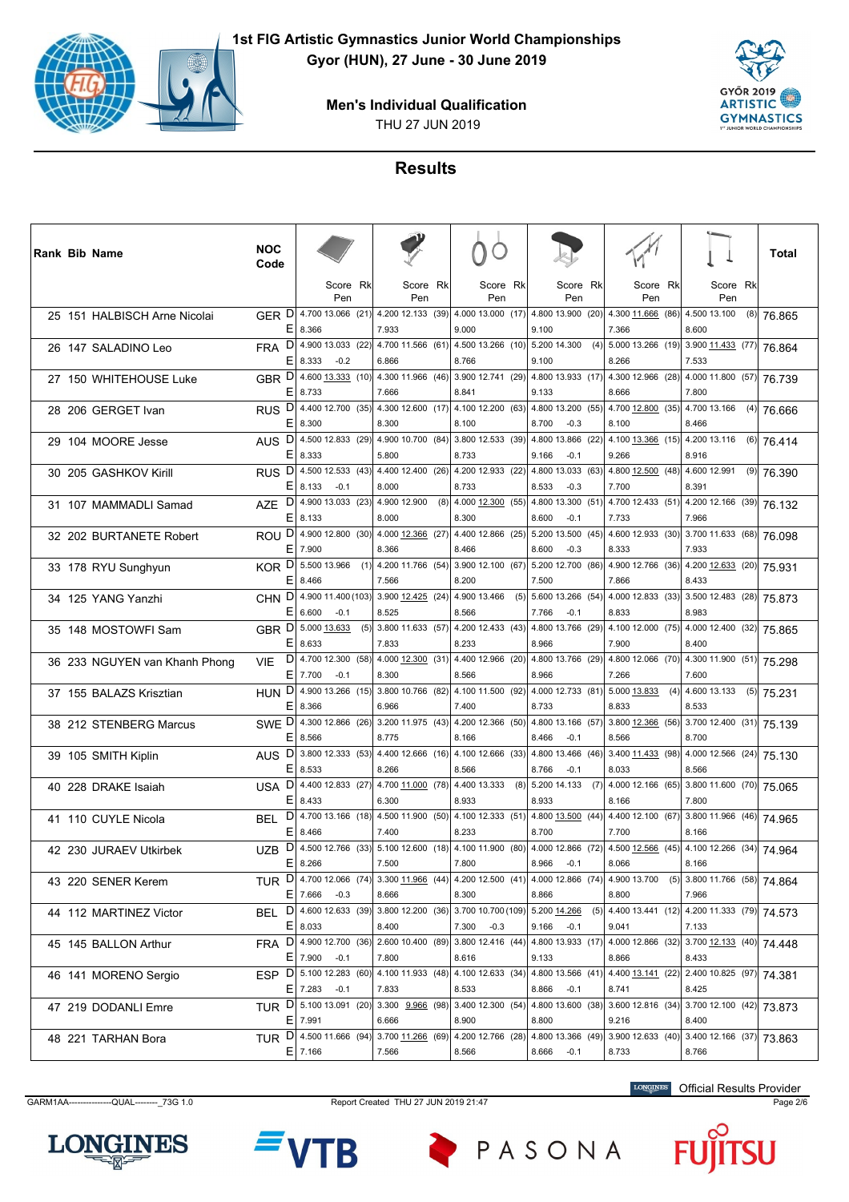



# **Results**

|  | <b>Rank Bib Name</b>          | <b>NOC</b><br>Code      |             |                                       |     |                                                                                                     |     |                            |                 |     |                                      |     |                                                     |     |                                       |     | Total        |
|--|-------------------------------|-------------------------|-------------|---------------------------------------|-----|-----------------------------------------------------------------------------------------------------|-----|----------------------------|-----------------|-----|--------------------------------------|-----|-----------------------------------------------------|-----|---------------------------------------|-----|--------------|
|  |                               |                         |             | Score Rk<br>Pen                       |     | Score Rkl<br>Pen                                                                                    |     |                            | Score Rk<br>Pen |     | Score Rk<br>Pen                      |     | Score Rk<br>Pen                                     |     | Score Rk<br>Pen                       |     |              |
|  | 25 151 HALBISCH Arne Nicolai  | GER D<br>E.             | 8.366       | 4.700 13.066 (21)                     |     | 4.200 12.133 (39)<br>7.933                                                                          |     | 4.000 13.000 (17)<br>9.000 |                 |     | 4.800 13.900 (20)<br>9.100           |     | 4.300 11.666 (86)<br>7.366                          |     | 4.500 13.100<br>8.600                 | (8) | 76.865       |
|  | 26 147 SALADINO Leo           | <b>FRA</b><br>ΕI        | 8.333       | $D$ 4.900 13.033 (22)<br>$-0.2$       |     | 4.700 11.566 (61) 4.500 13.266 (10) 5.200 14.300<br>6.866                                           |     | 8.766                      |                 |     | 9.100                                | (4) | 5.000 13.266 (19)<br>8.266                          |     | $3.900$ 11.433 (77) 76.864<br>7.533   |     |              |
|  | 27 150 WHITEHOUSE Luke        | GBR D<br>Е              | 8.733       | 4.600 13.333 (10)                     |     | 4.300 11.966 (46)<br>7.666                                                                          |     | 3.900 12.741 (29)<br>8.841 |                 |     | 4.800 13.933 (17)<br>9.133           |     | 4.300 12.966 (28)<br>8.666                          |     | 4.000 11.800 (57)<br>7.800            |     | 76.739       |
|  | 28 206 GERGET Ivan            | RUS <sup>D</sup><br>E.  | 8.300       | 4.400 12.700 (35)                     |     | 4.300 12.600 (17)<br>8.300                                                                          |     | 4.100 12.200 (63)<br>8.100 |                 |     | 4.800 13.200 (55)<br>8.700<br>$-0.3$ |     | 4.700 12.800 (35)<br>8.100                          |     | 4.700 13.166<br>8.466                 | (4) | 76.666       |
|  | 29 104 MOORE Jesse            | D<br><b>AUS</b>         | E 8.333     | 4.500 12.833 (29)                     |     | 4.90010.700(84) <br>5.800                                                                           |     | 3.800 12.533 (39)<br>8.733 |                 |     | 4.800 13.866 (22)<br>9.166<br>$-0.1$ |     | 4.100 $13.366$ (15)<br>9.266                        |     | 4.200 13.116<br>8.916                 |     | $(6)$ 76.414 |
|  | 30 205 GASHKOV Kirill         | D<br><b>RUS</b><br>ΕI   | 8.133       | 4.500 12.533 (43)<br>$-0.1$           |     | 4.400 12.400 (26)<br>8.000                                                                          |     | 4.200 12.933 (22)<br>8.733 |                 |     | 4.800 13.033 (63)<br>8.533<br>$-0.3$ |     | 4.800 12.500 (48)<br>7.700                          |     | 4.600 12.991<br>8.391                 |     | $(9)$ 76.390 |
|  | 31 107 MAMMADLI Samad         | AZE <sup>D</sup><br>E.  | 8.133       | 4.900 13.033 (23)                     |     | 4.900 12.900<br>8.000                                                                               | (8) | 4.000 12.300 (55)<br>8.300 |                 |     | 4.800 13.300 (51)<br>8.600<br>$-0.1$ |     | 4.700 12.433 (51)<br>7.733                          |     | 4.200 12.166 (39)<br>7.966            |     | 76.132       |
|  | 32 202 BURTANETE Robert       | <b>ROU</b><br>E.        |             |                                       |     | $D$ 4.900 12.800 (30) 4.000 12.366 (27)<br>8.366                                                    |     | 4.400 12.866 (25)<br>8.466 |                 |     | 5.200 13.500 (45)                    |     | 4.600 12.933 (30)                                   |     | 3.700 11.633 (68) 76.098              |     |              |
|  | 33 178 RYU Sunghyun           | KOR D                   | 7.900       | 5.500 13.966                          | (1) | $4.200$ 11.766 (54)                                                                                 |     | 3.900 12.100 (67)          |                 |     | 8.600<br>$-0.3$<br>5.200 12.700 (86) |     | 8.333<br>4.900 12.766 (36)                          |     | 7.933<br>$4.200$ $12.633$ (20) 75.931 |     |              |
|  | 34 125 YANG Yanzhi            | Е<br>CHN D              | 8.466       |                                       |     | 7.566<br>4.900 11.400 (103) 3.900 12.425 (24)                                                       |     | 8.200<br>4.900 13.466      |                 | (5) | 7.500<br>5.600 13.266 (54)           |     | 7.866<br>4.000 12.833 (33)                          |     | 8.433<br>3.500 12.483 (28)            |     | 75.873       |
|  | 35 148 MOSTOWFI Sam           | E.<br><b>GBR</b>        | 6.600       | $-0.1$<br>$D$ 5.000 13.633            | (5) | 8.525<br>$3.800$ 11.633 (57)                                                                        |     | 8.566<br>4.200 12.433 (43) |                 |     | 7.766<br>$-0.1$<br>4.800 13.766 (29) |     | 8.833<br>4.100 12.000 (75)                          |     | 8.983<br>4.000 12.400 (32) 75.865     |     |              |
|  | 36 233 NGUYEN van Khanh Phong | ΕI<br>D<br>VIE          | 8.633       | 4.700 12.300 (58)                     |     | 7.833<br>4.000 12.300 (31) 4.400 12.966 (20)                                                        |     | 8.233                      |                 |     | 8.966<br>4.800 13.766 (29)           |     | 7.900<br>4.800 12.066 (70)                          |     | 8.400<br>4.300 11.900 (51) 75.298     |     |              |
|  | 37 155 BALAZS Krisztian       | Е<br>HUN <sup>D</sup>   | 7.700       | $-0.1$                                |     | 8.300<br>4.900 13.266 (15) 3.800 10.766 (82)                                                        |     | 8.566<br>4.100 11.500 (92) |                 |     | 8.966<br>4.000 12.733 (81)           |     | 7.266<br>5.000 13.833                               | (4) | 7.600<br>4.600 13.133                 |     | $(5)$ 75.231 |
|  | 38 212 STENBERG Marcus        | E.<br>SWE <sup>D</sup>  | 8.366       |                                       |     | 6.966<br>4.300 12.866 (26) 3.200 11.975 (43) 4.200 12.366 (50) 4.800 13.166 (57)                    |     | 7.400                      |                 |     | 8.733                                |     | 8.833<br>3.800 12.366 (56)                          |     | 8.533<br>3.700 12.400 (31) 75.139     |     |              |
|  | 39 105 SMITH Kiplin           | Е<br>AUS <sub>D</sub>   | 8.566       |                                       |     | 8.775<br>3.800 12.333 (53) 4.400 12.666 (16) 4.100 12.666 (33)                                      |     | 8.166                      |                 |     | $-0.1$<br>8.466<br>4.800 13.466 (46) |     | 8.566<br>3.400 11.433 (98)                          |     | 8.700<br>4.000 12.566 (24)            |     | 75.130       |
|  | 40 228 DRAKE Isaiah           | Е<br>USA D              | 8.533       |                                       |     | 8.266<br>4.400 12.833 (27) 4.700 11.000 (78)                                                        |     | 8.566<br>4.400 13.333      |                 | (8) | 8.766<br>$-0.1$<br>5.200 14.133      | (7) | 8.033<br>4.000 12.166 (65)                          |     | 8.566<br>3.800 11.600 (70)            |     | 75.065       |
|  | 41 110 CUYLE Nicola           | E.<br>BEL               | 8.433       |                                       |     | 6.300<br>$D $ 4.700 13.166 (18) 4.500 11.900 (50) 4.100 12.333 (51) 4.800 13.500 (44)               |     | 8.933                      |                 |     | 8.933                                |     | 8.166<br>4.400 12.100 (67)                          |     | 7.800<br>$3.800$ 11.966 (46) 74.965   |     |              |
|  | 42 230 JURAEV Utkirbek        | E<br>D<br><b>UZB</b>    | 8.466       | 4.500 12.766 (33)                     |     | 7.400<br>5.100 12.600 (18) 4.100 11.900 (80)                                                        |     | 8.233                      |                 |     | 8.700<br>4.000 12.866 (72)           |     | 7.700<br>4.500 12.566 (45)                          |     | 8.166<br>4.100 12.266 (34) 74.964     |     |              |
|  | 43 220 SENER Kerem            |                         | $E$   8.266 |                                       |     | 7.500<br>TUR D 4.700 12.066 (74) 3.300 11.966 (44) 4.200 12.500 (41) 4.000 12.866 (74) 4.900 13.700 |     | 7.800                      |                 |     | 8.966<br>$-0.1$                      |     | 8.066                                               |     | 8.166<br>(5) 3.800 11.766 (58) 74.864 |     |              |
|  |                               | BEL.                    |             | $E$ 7.666 -0.3<br>D 4.600 12.633 (39) |     | 8.666<br>3.800 12.200 (36) 3.700 10.700 (109) 5.200 14.266                                          |     | 8.300                      |                 |     | 8.866                                | (5) | 8.800<br>4.400 13.441 (12) 4.200 11.333 (79) 74.573 |     | 7.966                                 |     |              |
|  | 44 112 MARTINEZ Victor        |                         | $E$   8.033 | $D$ 4.900 12.700 (36)                 |     | 8.400<br>2.600 10.400 (89) 3.800 12.416 (44)                                                        |     | 7.300                      | $-0.3$          |     | $9.166 - 0.1$                        |     | 9.041                                               |     | 7.133<br>$3.700$ $12.133$ (40)        |     |              |
|  | 45 145 BALLON Arthur          | <b>FRA</b>              |             | $E$   7.900 -0.1                      |     | 7.800                                                                                               |     | 8.616                      |                 |     | 4.800 13.933 (17)<br>9.133           |     | 4.000 12.866 (32)<br>8.866                          |     | 8.433                                 |     | 74.448       |
|  | 46 141 MORENO Sergio          | ESP D 5.100 12.283 (60) |             | $E$   7.283 -0.1                      |     | 4.100 11.933 (48)<br>7.833                                                                          |     | 4.100 12.633 (34)<br>8.533 |                 |     | 4.800 13.566 (41)<br>8.866 -0.1      |     | 4.400 13.141 (22)<br>8.741                          |     | 2.400 10.825 (97)<br>8.425            |     | 74.381       |
|  | 47 219 DODANLI Emre           | TUR D 5.100 13.091 (20) | $E$   7.991 |                                       |     | $\vert$ 3.300 $\vert$ 9.966 (98) 3.400 12.300 (54) 4.800 13.600 (38)<br>6.666                       |     | 8.900                      |                 |     | 8.800                                |     | 3.60012.816(34)<br>9.216                            |     | 3.700 12.100 (42) 73.873<br>8.400     |     |              |
|  | 48 221 TARHAN Bora            | TUR D 4.500 11.666 (94) | $E$ 7.166   |                                       |     | $3.700$ 11.266 (69)<br>7.566                                                                        |     | 4.200 12.766 (28)<br>8.566 |                 |     | 4.800 13.366 (49)<br>8.666<br>$-0.1$ |     | 3.900 12.633 (40)<br>8.733                          |     | 3.400 12.166 (37)<br>8.766            |     | 73.863       |

GARM1AA---------------QUAL--------\_73G 1.0 Report Created THU 27 JUN 2019 21:47 Page 2/6

LONGINES Official Results Provider





PASONA

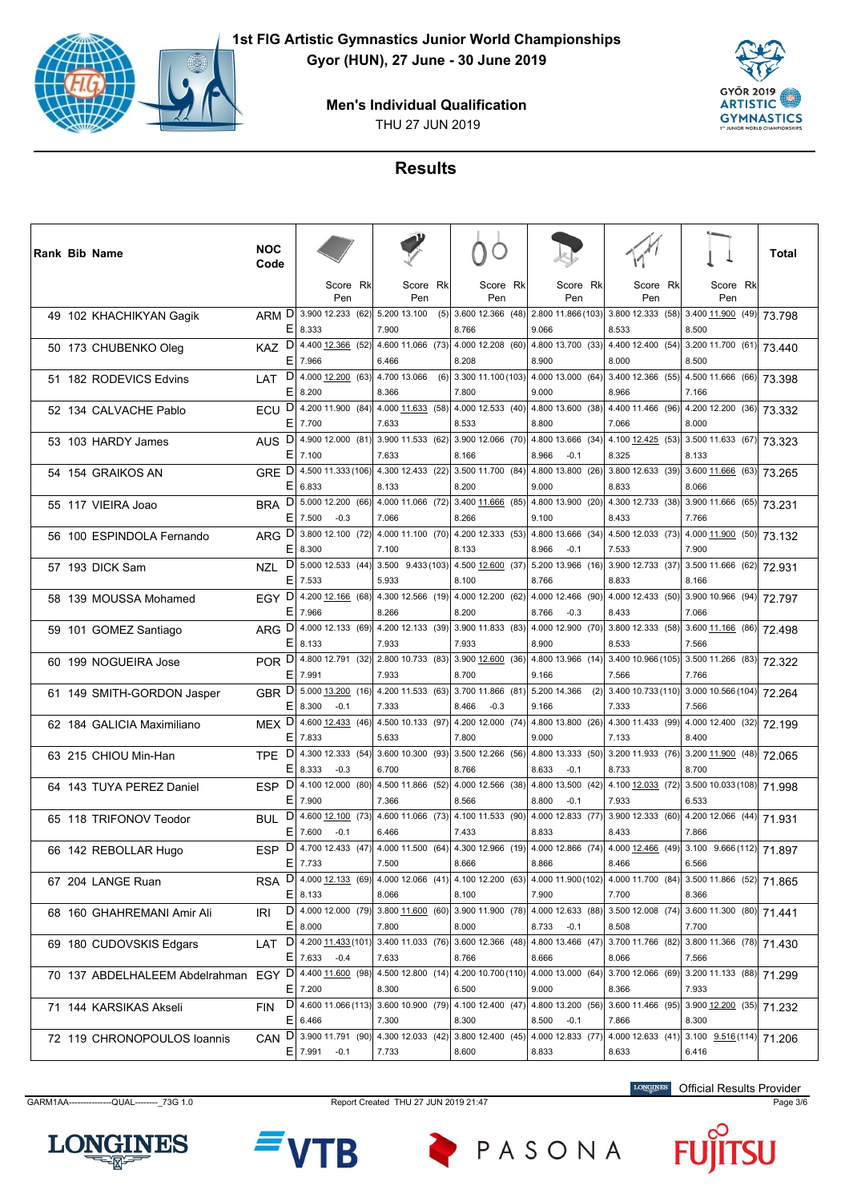



# **Results**

| Score Rk<br>Score<br><b>Rk</b><br>Score Rk<br>Score Rk<br>Score Rk<br>Score Rk<br>Pen<br>Pen<br>Pen<br>Pen<br>Pen<br>Pen<br>ARM D<br>3.900 12.233 (62)<br>3.600 12.366 (48)<br>2.800 11.866 (103)<br>5.200 13.100<br>(5)<br>3.800 12.333 (58) 3.400 11.900 (49)<br>49 102 KHACHIKYAN Gagik<br>73.798<br>$E$   8.333<br>7.900<br>8.766<br>9.066<br>8.533<br>8.500<br>$D $ 4.400 12.366 (52) 4.600 11.066 (73) 4.000 12.208 (60)<br>4.800 13.700 (33)<br>4.400 12.400 (54) 3.200 11.700 (61) 73.440<br><b>KAZ</b><br>50 173 CHUBENKO Oleg<br>E<br>7.966<br>6.466<br>8.208<br>8.900<br>8.000<br>8.500<br>$D$   4.000 12.200 (63)<br>4.500 11.666 (66) 73.398<br>4.700 13.066<br>(6)<br>3.300 11.100 (103)<br>4.000 13.000 (64)<br>3.400 12.366 (55)<br>51 182 RODEVICS Edvins<br>LAT<br>Е<br>8.200<br>8.366<br>7.800<br>8.966<br>9.000<br>7.166<br>ECU D<br>4.200 11.900 (84)<br>$4.000$ 11.633 (58)<br>4.000 12.533 (40)<br>4.800 13.600 (38)<br>4.400 11.466 (96)<br>$4.200$ 12.200 (36) 73.332<br>52 134 CALVACHE Pablo<br>ΕI<br>7.700<br>7.633<br>8.533<br>8.800<br>7.066<br>8.000<br>D<br>4.900 12.000 (81) 3.900 11.533 (62) 3.900 12.066 (70)<br>4.800 13.666 (34)<br>4.100 $12.425$ (53) 3.500 11.633 (67) 73.323<br><b>AUS</b><br>53 103 HARDY James<br>E.<br>7.100<br>7.633<br>8.166<br>8.966<br>$-0.1$<br>8.325<br>8.133<br>GRE D<br>4.500 11.333 (106)<br>4.300 12.433 (22) 3.500 11.700 (84)<br>4.800 13.800 (26)<br>3.800 12.633 (39)<br>3.600 11.666 (63) 73.265<br>54 154 GRAIKOS AN<br>E.<br>6.833<br>8.133<br>8.200<br>8.833<br>8.066<br>9.000<br>BRA D<br>5.000 12.200 (66)<br>4.000 11.066 (72) 3.400 11.666 (85) 4.800 13.900 (20)<br>4.300 12.733 (38) 3.900 11.666 (65)<br>55 117 VIEIRA Joao<br>73.231<br>E.<br>7.500<br>$-0.3$<br>7.066<br>8.266<br>9.100<br>8.433<br>7.766<br>$D$ 3.800 12.100 (72) 4.000 11.100 (70) 4.200 12.333 (53)<br>4.500 12.033 (73)<br>$4.000 \overline{11.900}$ (50) 73.132<br>4.800 13.666 (34)<br><b>ARG</b><br>56 100 ESPINDOLA Fernando<br>E.<br>8.300<br>7.100<br>8.133<br>8.966<br>$-0.1$<br>7.900<br>7.533<br>$D$ 5.000 12.533 (44)<br>$3.500$ 11.666 (62) 72.931<br>$3.500$ $9.433(103)$ 4.500 12.600 (37)<br>5.200 13.966 (16)<br>3.900 12.733 (37)<br>57 193 DICK Sam<br><b>NZL</b><br>E.<br>7.533<br>5.933<br>8.833<br>8.100<br>8.766<br>8.166<br>EGY D<br>4.200 12.166 (68)<br>4.300 12.566 (19)<br>4.000 12.200 (62)<br>4.000 12.466 (90)<br>4.000 12.433 (50)<br>$3.900$ 10.966 (94)<br>72.797<br>58 139 MOUSSA Mohamed<br>E.<br>7.966<br>8.266<br>8.200<br>8.766<br>$-0.3$<br>8.433<br>7.066<br>D<br>4.000 12.133 (69) 4.200 12.133 (39) 3.900 11.833 (83)<br>4.000 12.900 (70)<br>$3.800$ 12.333 (58) 3.600 11.166 (86) 72.498<br><b>ARG</b><br>59 101 GOMEZ Santiago<br>E.<br>8.133<br>7.933<br>7.933<br>8.900<br>8.533<br>7.566<br>2.800 10.733 (83) 3.900 12.600 (36)<br>$3.400 10.966(105)$ 3.500 11.266 (83) 72.322<br>POR DI<br>4.800 12.791 (32)<br>4.800 13.966 (14)<br>60 199 NOGUEIRA Jose<br>E.<br>7.991<br>7.933<br>8.700<br>7.766<br>9.166<br>7.566<br>GBR D<br>5.000 13.200 (16)<br>4.200 11.533 (63) 3.700 11.866 (81)<br>5.200 14.366<br>3.400 10.733 (110) 3.000 10.566 (104)<br>(2)<br>72.264<br>61 149 SMITH-GORDON Jasper<br>ΕI<br>8.300<br>$-0.1$<br>7.333<br>8.466<br>7.333<br>7.566<br>$-0.3$<br>9.166<br>MEX D 4.600 12.433 (46) 4.500 10.133 (97) 4.200 12.000 (74)<br>4.300 11.433 (99) 4.000 12.400 (32) 72.199<br>4.800 13.800 (26)<br>62 184 GALICIA Maximiliano<br>Е<br>7.833<br>5.633<br>7.800<br>9.000<br>7.133<br>8.400<br>$D$ 4.300 12.333 (54)<br>3.600 10.300 (93) 3.500 12.266 (56)<br>$3.20011.933$ (76) 3.200 11.900 (48) 72.065<br>4.800 13.333 (50)<br><b>TPE</b><br>63 215 CHIOU Min-Han<br>Е<br>8.333<br>$-0.3$<br>8.700<br>6.700<br>8.766<br>8.633<br>$-0.1$<br>8.733<br>$ESP$ $D$<br>4.100 12.000 (80)<br>4.500 11.866 (52)<br>4.000 12.566 (38)<br>4.800 13.500 (42)<br>4.100 12.033 (72)<br>$\sqrt{3.500}$ 10.033 (108) 71.998<br>64 143 TUYA PEREZ Daniel<br>E.<br>7.900<br>7.366<br>8.566<br>8.800<br>$-0.1$<br>7.933<br>6.533<br>$D$ 4.600 12.100 (73) 4.600 11.066 (73) 4.100 11.533 (90)<br>$3.900$ 12.333 (60) 4.200 12.066 (44) 71.931<br>4.000 12.833 (77)<br><b>BUL</b><br>65 118 TRIFONOV Teodor<br>E.<br>7.600<br>$-0.1$<br>6.466<br>7.433<br>8.833<br>8.433<br>7.866<br>4.000 11.500 (64) 4.300 12.966 (19)<br>$3.100$ 9.666 (112) 71.897<br>D<br>4.700 12.433 (47)<br>4.000 12.866 (74)<br>4.000 12.466 (49)<br><b>ESP</b><br>66 142 REBOLLAR Hugo<br>E 7.733<br>7.500<br>8.466<br>8.666<br>8.866<br>6.566<br>RSA D 4.000 12.133 (69) 4.000 12.066 (41) 4.100 12.200 (63) 4.000 11.900 (102) 4.000 11.700 (84) 3.500 11.866 (52) 71.865<br>67 204 LANGE Ruan<br>$E$   8.133<br>8.066<br>8.100<br>7.900<br>7.700<br>8.366<br>$D $ 4.000 12.000 (79) 3.800 11.600 (60) 3.900 11.900 (78)<br>4.000 12.633 (88)<br>$3.500 12.008 (74) 3.600 11.300 (80) 71.441$<br>IRI<br>68 160 GHAHREMANI Amir Ali<br>E 8.000<br>7.800<br>8.000<br>8.733<br>$-0.1$<br>8.508<br>7.700<br>D 4.200 11.433 (101)<br>3.400 11.033 (76) 3.600 12.366 (48)<br>4.800 13.466 (47)<br>3.700 11.766 (82)<br>3.800 11.366 (78) 71.430<br>LAT<br>69 180 CUDOVSKIS Edgars<br>$E$   7.633 -0.4<br>7.633<br>8.766<br>8.666<br>8.066<br>7.566<br>70 137 ABDELHALEEM Abdelrahman EGY D 4.400 11.600 (98)<br>$4.500$ 12.800 (14)<br>4.200 10.700 (110) 4.000 13.000 (64)<br>3.700 12.066 (69)<br>3.200 11.133 (88)<br>71.299<br>$E$   7.200<br>8.300<br>6.500<br>7.933<br>9.000<br>8.366<br>$D$ 4.600 11.066 (113) 3.600 10.900 (79) 4.100 12.400 (47)<br>4.800 13.200 (56)<br>$\boxed{3.600}$ 11.466 (95) 3.900 12.200 (35) 71.232<br><b>FIN</b><br>71 144 KARSIKAS Akseli<br>E 6.466<br>7.300<br>8.300<br>8.500<br>$-0.1$<br>8.300<br>7.866<br>$D$   3.900 11.791 (90)<br>4.300 12.033 (42)<br>3.800 12.400 (45)<br>4.000 12.833 (77)<br>4.000 12.633 (41) 3.100 $9.516(114)$<br><b>CAN</b><br>72 119 CHRONOPOULOS loannis<br>71.206<br>$E$   7.991 -0.1<br>7.733<br>8.600<br>8.833<br>8.633<br>6.416 |  | <b>Rank Bib Name</b> | <b>NOC</b><br>Code |  |  |  |  | Total |
|-------------------------------------------------------------------------------------------------------------------------------------------------------------------------------------------------------------------------------------------------------------------------------------------------------------------------------------------------------------------------------------------------------------------------------------------------------------------------------------------------------------------------------------------------------------------------------------------------------------------------------------------------------------------------------------------------------------------------------------------------------------------------------------------------------------------------------------------------------------------------------------------------------------------------------------------------------------------------------------------------------------------------------------------------------------------------------------------------------------------------------------------------------------------------------------------------------------------------------------------------------------------------------------------------------------------------------------------------------------------------------------------------------------------------------------------------------------------------------------------------------------------------------------------------------------------------------------------------------------------------------------------------------------------------------------------------------------------------------------------------------------------------------------------------------------------------------------------------------------------------------------------------------------------------------------------------------------------------------------------------------------------------------------------------------------------------------------------------------------------------------------------------------------------------------------------------------------------------------------------------------------------------------------------------------------------------------------------------------------------------------------------------------------------------------------------------------------------------------------------------------------------------------------------------------------------------------------------------------------------------------------------------------------------------------------------------------------------------------------------------------------------------------------------------------------------------------------------------------------------------------------------------------------------------------------------------------------------------------------------------------------------------------------------------------------------------------------------------------------------------------------------------------------------------------------------------------------------------------------------------------------------------------------------------------------------------------------------------------------------------------------------------------------------------------------------------------------------------------------------------------------------------------------------------------------------------------------------------------------------------------------------------------------------------------------------------------------------------------------------------------------------------------------------------------------------------------------------------------------------------------------------------------------------------------------------------------------------------------------------------------------------------------------------------------------------------------------------------------------------------------------------------------------------------------------------------------------------------------------------------------------------------------------------------------------------------------------------------------------------------------------------------------------------------------------------------------------------------------------------------------------------------------------------------------------------------------------------------------------------------------------------------------------------------------------------------------------------------------------------------------------------------------------------------------------------------------------------------------------------------------------------------------------------------------------------------------------------------------------------------------------------------------------------------------------------------------------------------------------------------------------------------------------------------------------------------------------------------------------------------------------------------------------------------------------------------------------------------------------------------------------------------------------------------------------------------------------------------------------------------------------------------------------------------------------------------------------------------------------------------------------------------------------------------------------------------------------------------------------------------------------------------------------------------------------------------------------------------------------------------------------------------------------------------------------------------------------------------------------------------|--|----------------------|--------------------|--|--|--|--|-------|
|                                                                                                                                                                                                                                                                                                                                                                                                                                                                                                                                                                                                                                                                                                                                                                                                                                                                                                                                                                                                                                                                                                                                                                                                                                                                                                                                                                                                                                                                                                                                                                                                                                                                                                                                                                                                                                                                                                                                                                                                                                                                                                                                                                                                                                                                                                                                                                                                                                                                                                                                                                                                                                                                                                                                                                                                                                                                                                                                                                                                                                                                                                                                                                                                                                                                                                                                                                                                                                                                                                                                                                                                                                                                                                                                                                                                                                                                                                                                                                                                                                                                                                                                                                                                                                                                                                                                                                                                                                                                                                                                                                                                                                                                                                                                                                                                                                                                                                                                                                                                                                                                                                                                                                                                                                                                                                                                                                                                                                                                                                                                                                                                                                                                                                                                                                                                                                                                                                                                                                                                 |  |                      |                    |  |  |  |  |       |
|                                                                                                                                                                                                                                                                                                                                                                                                                                                                                                                                                                                                                                                                                                                                                                                                                                                                                                                                                                                                                                                                                                                                                                                                                                                                                                                                                                                                                                                                                                                                                                                                                                                                                                                                                                                                                                                                                                                                                                                                                                                                                                                                                                                                                                                                                                                                                                                                                                                                                                                                                                                                                                                                                                                                                                                                                                                                                                                                                                                                                                                                                                                                                                                                                                                                                                                                                                                                                                                                                                                                                                                                                                                                                                                                                                                                                                                                                                                                                                                                                                                                                                                                                                                                                                                                                                                                                                                                                                                                                                                                                                                                                                                                                                                                                                                                                                                                                                                                                                                                                                                                                                                                                                                                                                                                                                                                                                                                                                                                                                                                                                                                                                                                                                                                                                                                                                                                                                                                                                                                 |  |                      |                    |  |  |  |  |       |
|                                                                                                                                                                                                                                                                                                                                                                                                                                                                                                                                                                                                                                                                                                                                                                                                                                                                                                                                                                                                                                                                                                                                                                                                                                                                                                                                                                                                                                                                                                                                                                                                                                                                                                                                                                                                                                                                                                                                                                                                                                                                                                                                                                                                                                                                                                                                                                                                                                                                                                                                                                                                                                                                                                                                                                                                                                                                                                                                                                                                                                                                                                                                                                                                                                                                                                                                                                                                                                                                                                                                                                                                                                                                                                                                                                                                                                                                                                                                                                                                                                                                                                                                                                                                                                                                                                                                                                                                                                                                                                                                                                                                                                                                                                                                                                                                                                                                                                                                                                                                                                                                                                                                                                                                                                                                                                                                                                                                                                                                                                                                                                                                                                                                                                                                                                                                                                                                                                                                                                                                 |  |                      |                    |  |  |  |  |       |
|                                                                                                                                                                                                                                                                                                                                                                                                                                                                                                                                                                                                                                                                                                                                                                                                                                                                                                                                                                                                                                                                                                                                                                                                                                                                                                                                                                                                                                                                                                                                                                                                                                                                                                                                                                                                                                                                                                                                                                                                                                                                                                                                                                                                                                                                                                                                                                                                                                                                                                                                                                                                                                                                                                                                                                                                                                                                                                                                                                                                                                                                                                                                                                                                                                                                                                                                                                                                                                                                                                                                                                                                                                                                                                                                                                                                                                                                                                                                                                                                                                                                                                                                                                                                                                                                                                                                                                                                                                                                                                                                                                                                                                                                                                                                                                                                                                                                                                                                                                                                                                                                                                                                                                                                                                                                                                                                                                                                                                                                                                                                                                                                                                                                                                                                                                                                                                                                                                                                                                                                 |  |                      |                    |  |  |  |  |       |
|                                                                                                                                                                                                                                                                                                                                                                                                                                                                                                                                                                                                                                                                                                                                                                                                                                                                                                                                                                                                                                                                                                                                                                                                                                                                                                                                                                                                                                                                                                                                                                                                                                                                                                                                                                                                                                                                                                                                                                                                                                                                                                                                                                                                                                                                                                                                                                                                                                                                                                                                                                                                                                                                                                                                                                                                                                                                                                                                                                                                                                                                                                                                                                                                                                                                                                                                                                                                                                                                                                                                                                                                                                                                                                                                                                                                                                                                                                                                                                                                                                                                                                                                                                                                                                                                                                                                                                                                                                                                                                                                                                                                                                                                                                                                                                                                                                                                                                                                                                                                                                                                                                                                                                                                                                                                                                                                                                                                                                                                                                                                                                                                                                                                                                                                                                                                                                                                                                                                                                                                 |  |                      |                    |  |  |  |  |       |
|                                                                                                                                                                                                                                                                                                                                                                                                                                                                                                                                                                                                                                                                                                                                                                                                                                                                                                                                                                                                                                                                                                                                                                                                                                                                                                                                                                                                                                                                                                                                                                                                                                                                                                                                                                                                                                                                                                                                                                                                                                                                                                                                                                                                                                                                                                                                                                                                                                                                                                                                                                                                                                                                                                                                                                                                                                                                                                                                                                                                                                                                                                                                                                                                                                                                                                                                                                                                                                                                                                                                                                                                                                                                                                                                                                                                                                                                                                                                                                                                                                                                                                                                                                                                                                                                                                                                                                                                                                                                                                                                                                                                                                                                                                                                                                                                                                                                                                                                                                                                                                                                                                                                                                                                                                                                                                                                                                                                                                                                                                                                                                                                                                                                                                                                                                                                                                                                                                                                                                                                 |  |                      |                    |  |  |  |  |       |
|                                                                                                                                                                                                                                                                                                                                                                                                                                                                                                                                                                                                                                                                                                                                                                                                                                                                                                                                                                                                                                                                                                                                                                                                                                                                                                                                                                                                                                                                                                                                                                                                                                                                                                                                                                                                                                                                                                                                                                                                                                                                                                                                                                                                                                                                                                                                                                                                                                                                                                                                                                                                                                                                                                                                                                                                                                                                                                                                                                                                                                                                                                                                                                                                                                                                                                                                                                                                                                                                                                                                                                                                                                                                                                                                                                                                                                                                                                                                                                                                                                                                                                                                                                                                                                                                                                                                                                                                                                                                                                                                                                                                                                                                                                                                                                                                                                                                                                                                                                                                                                                                                                                                                                                                                                                                                                                                                                                                                                                                                                                                                                                                                                                                                                                                                                                                                                                                                                                                                                                                 |  |                      |                    |  |  |  |  |       |
|                                                                                                                                                                                                                                                                                                                                                                                                                                                                                                                                                                                                                                                                                                                                                                                                                                                                                                                                                                                                                                                                                                                                                                                                                                                                                                                                                                                                                                                                                                                                                                                                                                                                                                                                                                                                                                                                                                                                                                                                                                                                                                                                                                                                                                                                                                                                                                                                                                                                                                                                                                                                                                                                                                                                                                                                                                                                                                                                                                                                                                                                                                                                                                                                                                                                                                                                                                                                                                                                                                                                                                                                                                                                                                                                                                                                                                                                                                                                                                                                                                                                                                                                                                                                                                                                                                                                                                                                                                                                                                                                                                                                                                                                                                                                                                                                                                                                                                                                                                                                                                                                                                                                                                                                                                                                                                                                                                                                                                                                                                                                                                                                                                                                                                                                                                                                                                                                                                                                                                                                 |  |                      |                    |  |  |  |  |       |
|                                                                                                                                                                                                                                                                                                                                                                                                                                                                                                                                                                                                                                                                                                                                                                                                                                                                                                                                                                                                                                                                                                                                                                                                                                                                                                                                                                                                                                                                                                                                                                                                                                                                                                                                                                                                                                                                                                                                                                                                                                                                                                                                                                                                                                                                                                                                                                                                                                                                                                                                                                                                                                                                                                                                                                                                                                                                                                                                                                                                                                                                                                                                                                                                                                                                                                                                                                                                                                                                                                                                                                                                                                                                                                                                                                                                                                                                                                                                                                                                                                                                                                                                                                                                                                                                                                                                                                                                                                                                                                                                                                                                                                                                                                                                                                                                                                                                                                                                                                                                                                                                                                                                                                                                                                                                                                                                                                                                                                                                                                                                                                                                                                                                                                                                                                                                                                                                                                                                                                                                 |  |                      |                    |  |  |  |  |       |
|                                                                                                                                                                                                                                                                                                                                                                                                                                                                                                                                                                                                                                                                                                                                                                                                                                                                                                                                                                                                                                                                                                                                                                                                                                                                                                                                                                                                                                                                                                                                                                                                                                                                                                                                                                                                                                                                                                                                                                                                                                                                                                                                                                                                                                                                                                                                                                                                                                                                                                                                                                                                                                                                                                                                                                                                                                                                                                                                                                                                                                                                                                                                                                                                                                                                                                                                                                                                                                                                                                                                                                                                                                                                                                                                                                                                                                                                                                                                                                                                                                                                                                                                                                                                                                                                                                                                                                                                                                                                                                                                                                                                                                                                                                                                                                                                                                                                                                                                                                                                                                                                                                                                                                                                                                                                                                                                                                                                                                                                                                                                                                                                                                                                                                                                                                                                                                                                                                                                                                                                 |  |                      |                    |  |  |  |  |       |
|                                                                                                                                                                                                                                                                                                                                                                                                                                                                                                                                                                                                                                                                                                                                                                                                                                                                                                                                                                                                                                                                                                                                                                                                                                                                                                                                                                                                                                                                                                                                                                                                                                                                                                                                                                                                                                                                                                                                                                                                                                                                                                                                                                                                                                                                                                                                                                                                                                                                                                                                                                                                                                                                                                                                                                                                                                                                                                                                                                                                                                                                                                                                                                                                                                                                                                                                                                                                                                                                                                                                                                                                                                                                                                                                                                                                                                                                                                                                                                                                                                                                                                                                                                                                                                                                                                                                                                                                                                                                                                                                                                                                                                                                                                                                                                                                                                                                                                                                                                                                                                                                                                                                                                                                                                                                                                                                                                                                                                                                                                                                                                                                                                                                                                                                                                                                                                                                                                                                                                                                 |  |                      |                    |  |  |  |  |       |
|                                                                                                                                                                                                                                                                                                                                                                                                                                                                                                                                                                                                                                                                                                                                                                                                                                                                                                                                                                                                                                                                                                                                                                                                                                                                                                                                                                                                                                                                                                                                                                                                                                                                                                                                                                                                                                                                                                                                                                                                                                                                                                                                                                                                                                                                                                                                                                                                                                                                                                                                                                                                                                                                                                                                                                                                                                                                                                                                                                                                                                                                                                                                                                                                                                                                                                                                                                                                                                                                                                                                                                                                                                                                                                                                                                                                                                                                                                                                                                                                                                                                                                                                                                                                                                                                                                                                                                                                                                                                                                                                                                                                                                                                                                                                                                                                                                                                                                                                                                                                                                                                                                                                                                                                                                                                                                                                                                                                                                                                                                                                                                                                                                                                                                                                                                                                                                                                                                                                                                                                 |  |                      |                    |  |  |  |  |       |
|                                                                                                                                                                                                                                                                                                                                                                                                                                                                                                                                                                                                                                                                                                                                                                                                                                                                                                                                                                                                                                                                                                                                                                                                                                                                                                                                                                                                                                                                                                                                                                                                                                                                                                                                                                                                                                                                                                                                                                                                                                                                                                                                                                                                                                                                                                                                                                                                                                                                                                                                                                                                                                                                                                                                                                                                                                                                                                                                                                                                                                                                                                                                                                                                                                                                                                                                                                                                                                                                                                                                                                                                                                                                                                                                                                                                                                                                                                                                                                                                                                                                                                                                                                                                                                                                                                                                                                                                                                                                                                                                                                                                                                                                                                                                                                                                                                                                                                                                                                                                                                                                                                                                                                                                                                                                                                                                                                                                                                                                                                                                                                                                                                                                                                                                                                                                                                                                                                                                                                                                 |  |                      |                    |  |  |  |  |       |
|                                                                                                                                                                                                                                                                                                                                                                                                                                                                                                                                                                                                                                                                                                                                                                                                                                                                                                                                                                                                                                                                                                                                                                                                                                                                                                                                                                                                                                                                                                                                                                                                                                                                                                                                                                                                                                                                                                                                                                                                                                                                                                                                                                                                                                                                                                                                                                                                                                                                                                                                                                                                                                                                                                                                                                                                                                                                                                                                                                                                                                                                                                                                                                                                                                                                                                                                                                                                                                                                                                                                                                                                                                                                                                                                                                                                                                                                                                                                                                                                                                                                                                                                                                                                                                                                                                                                                                                                                                                                                                                                                                                                                                                                                                                                                                                                                                                                                                                                                                                                                                                                                                                                                                                                                                                                                                                                                                                                                                                                                                                                                                                                                                                                                                                                                                                                                                                                                                                                                                                                 |  |                      |                    |  |  |  |  |       |
|                                                                                                                                                                                                                                                                                                                                                                                                                                                                                                                                                                                                                                                                                                                                                                                                                                                                                                                                                                                                                                                                                                                                                                                                                                                                                                                                                                                                                                                                                                                                                                                                                                                                                                                                                                                                                                                                                                                                                                                                                                                                                                                                                                                                                                                                                                                                                                                                                                                                                                                                                                                                                                                                                                                                                                                                                                                                                                                                                                                                                                                                                                                                                                                                                                                                                                                                                                                                                                                                                                                                                                                                                                                                                                                                                                                                                                                                                                                                                                                                                                                                                                                                                                                                                                                                                                                                                                                                                                                                                                                                                                                                                                                                                                                                                                                                                                                                                                                                                                                                                                                                                                                                                                                                                                                                                                                                                                                                                                                                                                                                                                                                                                                                                                                                                                                                                                                                                                                                                                                                 |  |                      |                    |  |  |  |  |       |
|                                                                                                                                                                                                                                                                                                                                                                                                                                                                                                                                                                                                                                                                                                                                                                                                                                                                                                                                                                                                                                                                                                                                                                                                                                                                                                                                                                                                                                                                                                                                                                                                                                                                                                                                                                                                                                                                                                                                                                                                                                                                                                                                                                                                                                                                                                                                                                                                                                                                                                                                                                                                                                                                                                                                                                                                                                                                                                                                                                                                                                                                                                                                                                                                                                                                                                                                                                                                                                                                                                                                                                                                                                                                                                                                                                                                                                                                                                                                                                                                                                                                                                                                                                                                                                                                                                                                                                                                                                                                                                                                                                                                                                                                                                                                                                                                                                                                                                                                                                                                                                                                                                                                                                                                                                                                                                                                                                                                                                                                                                                                                                                                                                                                                                                                                                                                                                                                                                                                                                                                 |  |                      |                    |  |  |  |  |       |
|                                                                                                                                                                                                                                                                                                                                                                                                                                                                                                                                                                                                                                                                                                                                                                                                                                                                                                                                                                                                                                                                                                                                                                                                                                                                                                                                                                                                                                                                                                                                                                                                                                                                                                                                                                                                                                                                                                                                                                                                                                                                                                                                                                                                                                                                                                                                                                                                                                                                                                                                                                                                                                                                                                                                                                                                                                                                                                                                                                                                                                                                                                                                                                                                                                                                                                                                                                                                                                                                                                                                                                                                                                                                                                                                                                                                                                                                                                                                                                                                                                                                                                                                                                                                                                                                                                                                                                                                                                                                                                                                                                                                                                                                                                                                                                                                                                                                                                                                                                                                                                                                                                                                                                                                                                                                                                                                                                                                                                                                                                                                                                                                                                                                                                                                                                                                                                                                                                                                                                                                 |  |                      |                    |  |  |  |  |       |
|                                                                                                                                                                                                                                                                                                                                                                                                                                                                                                                                                                                                                                                                                                                                                                                                                                                                                                                                                                                                                                                                                                                                                                                                                                                                                                                                                                                                                                                                                                                                                                                                                                                                                                                                                                                                                                                                                                                                                                                                                                                                                                                                                                                                                                                                                                                                                                                                                                                                                                                                                                                                                                                                                                                                                                                                                                                                                                                                                                                                                                                                                                                                                                                                                                                                                                                                                                                                                                                                                                                                                                                                                                                                                                                                                                                                                                                                                                                                                                                                                                                                                                                                                                                                                                                                                                                                                                                                                                                                                                                                                                                                                                                                                                                                                                                                                                                                                                                                                                                                                                                                                                                                                                                                                                                                                                                                                                                                                                                                                                                                                                                                                                                                                                                                                                                                                                                                                                                                                                                                 |  |                      |                    |  |  |  |  |       |
|                                                                                                                                                                                                                                                                                                                                                                                                                                                                                                                                                                                                                                                                                                                                                                                                                                                                                                                                                                                                                                                                                                                                                                                                                                                                                                                                                                                                                                                                                                                                                                                                                                                                                                                                                                                                                                                                                                                                                                                                                                                                                                                                                                                                                                                                                                                                                                                                                                                                                                                                                                                                                                                                                                                                                                                                                                                                                                                                                                                                                                                                                                                                                                                                                                                                                                                                                                                                                                                                                                                                                                                                                                                                                                                                                                                                                                                                                                                                                                                                                                                                                                                                                                                                                                                                                                                                                                                                                                                                                                                                                                                                                                                                                                                                                                                                                                                                                                                                                                                                                                                                                                                                                                                                                                                                                                                                                                                                                                                                                                                                                                                                                                                                                                                                                                                                                                                                                                                                                                                                 |  |                      |                    |  |  |  |  |       |
|                                                                                                                                                                                                                                                                                                                                                                                                                                                                                                                                                                                                                                                                                                                                                                                                                                                                                                                                                                                                                                                                                                                                                                                                                                                                                                                                                                                                                                                                                                                                                                                                                                                                                                                                                                                                                                                                                                                                                                                                                                                                                                                                                                                                                                                                                                                                                                                                                                                                                                                                                                                                                                                                                                                                                                                                                                                                                                                                                                                                                                                                                                                                                                                                                                                                                                                                                                                                                                                                                                                                                                                                                                                                                                                                                                                                                                                                                                                                                                                                                                                                                                                                                                                                                                                                                                                                                                                                                                                                                                                                                                                                                                                                                                                                                                                                                                                                                                                                                                                                                                                                                                                                                                                                                                                                                                                                                                                                                                                                                                                                                                                                                                                                                                                                                                                                                                                                                                                                                                                                 |  |                      |                    |  |  |  |  |       |
|                                                                                                                                                                                                                                                                                                                                                                                                                                                                                                                                                                                                                                                                                                                                                                                                                                                                                                                                                                                                                                                                                                                                                                                                                                                                                                                                                                                                                                                                                                                                                                                                                                                                                                                                                                                                                                                                                                                                                                                                                                                                                                                                                                                                                                                                                                                                                                                                                                                                                                                                                                                                                                                                                                                                                                                                                                                                                                                                                                                                                                                                                                                                                                                                                                                                                                                                                                                                                                                                                                                                                                                                                                                                                                                                                                                                                                                                                                                                                                                                                                                                                                                                                                                                                                                                                                                                                                                                                                                                                                                                                                                                                                                                                                                                                                                                                                                                                                                                                                                                                                                                                                                                                                                                                                                                                                                                                                                                                                                                                                                                                                                                                                                                                                                                                                                                                                                                                                                                                                                                 |  |                      |                    |  |  |  |  |       |
|                                                                                                                                                                                                                                                                                                                                                                                                                                                                                                                                                                                                                                                                                                                                                                                                                                                                                                                                                                                                                                                                                                                                                                                                                                                                                                                                                                                                                                                                                                                                                                                                                                                                                                                                                                                                                                                                                                                                                                                                                                                                                                                                                                                                                                                                                                                                                                                                                                                                                                                                                                                                                                                                                                                                                                                                                                                                                                                                                                                                                                                                                                                                                                                                                                                                                                                                                                                                                                                                                                                                                                                                                                                                                                                                                                                                                                                                                                                                                                                                                                                                                                                                                                                                                                                                                                                                                                                                                                                                                                                                                                                                                                                                                                                                                                                                                                                                                                                                                                                                                                                                                                                                                                                                                                                                                                                                                                                                                                                                                                                                                                                                                                                                                                                                                                                                                                                                                                                                                                                                 |  |                      |                    |  |  |  |  |       |
|                                                                                                                                                                                                                                                                                                                                                                                                                                                                                                                                                                                                                                                                                                                                                                                                                                                                                                                                                                                                                                                                                                                                                                                                                                                                                                                                                                                                                                                                                                                                                                                                                                                                                                                                                                                                                                                                                                                                                                                                                                                                                                                                                                                                                                                                                                                                                                                                                                                                                                                                                                                                                                                                                                                                                                                                                                                                                                                                                                                                                                                                                                                                                                                                                                                                                                                                                                                                                                                                                                                                                                                                                                                                                                                                                                                                                                                                                                                                                                                                                                                                                                                                                                                                                                                                                                                                                                                                                                                                                                                                                                                                                                                                                                                                                                                                                                                                                                                                                                                                                                                                                                                                                                                                                                                                                                                                                                                                                                                                                                                                                                                                                                                                                                                                                                                                                                                                                                                                                                                                 |  |                      |                    |  |  |  |  |       |
|                                                                                                                                                                                                                                                                                                                                                                                                                                                                                                                                                                                                                                                                                                                                                                                                                                                                                                                                                                                                                                                                                                                                                                                                                                                                                                                                                                                                                                                                                                                                                                                                                                                                                                                                                                                                                                                                                                                                                                                                                                                                                                                                                                                                                                                                                                                                                                                                                                                                                                                                                                                                                                                                                                                                                                                                                                                                                                                                                                                                                                                                                                                                                                                                                                                                                                                                                                                                                                                                                                                                                                                                                                                                                                                                                                                                                                                                                                                                                                                                                                                                                                                                                                                                                                                                                                                                                                                                                                                                                                                                                                                                                                                                                                                                                                                                                                                                                                                                                                                                                                                                                                                                                                                                                                                                                                                                                                                                                                                                                                                                                                                                                                                                                                                                                                                                                                                                                                                                                                                                 |  |                      |                    |  |  |  |  |       |
|                                                                                                                                                                                                                                                                                                                                                                                                                                                                                                                                                                                                                                                                                                                                                                                                                                                                                                                                                                                                                                                                                                                                                                                                                                                                                                                                                                                                                                                                                                                                                                                                                                                                                                                                                                                                                                                                                                                                                                                                                                                                                                                                                                                                                                                                                                                                                                                                                                                                                                                                                                                                                                                                                                                                                                                                                                                                                                                                                                                                                                                                                                                                                                                                                                                                                                                                                                                                                                                                                                                                                                                                                                                                                                                                                                                                                                                                                                                                                                                                                                                                                                                                                                                                                                                                                                                                                                                                                                                                                                                                                                                                                                                                                                                                                                                                                                                                                                                                                                                                                                                                                                                                                                                                                                                                                                                                                                                                                                                                                                                                                                                                                                                                                                                                                                                                                                                                                                                                                                                                 |  |                      |                    |  |  |  |  |       |

GARM1AA---------------QUAL--------\_73G 1.0 Report Created THU 27 JUN 2019 21:47 Page 3/6

LONGINES Official Results Provider







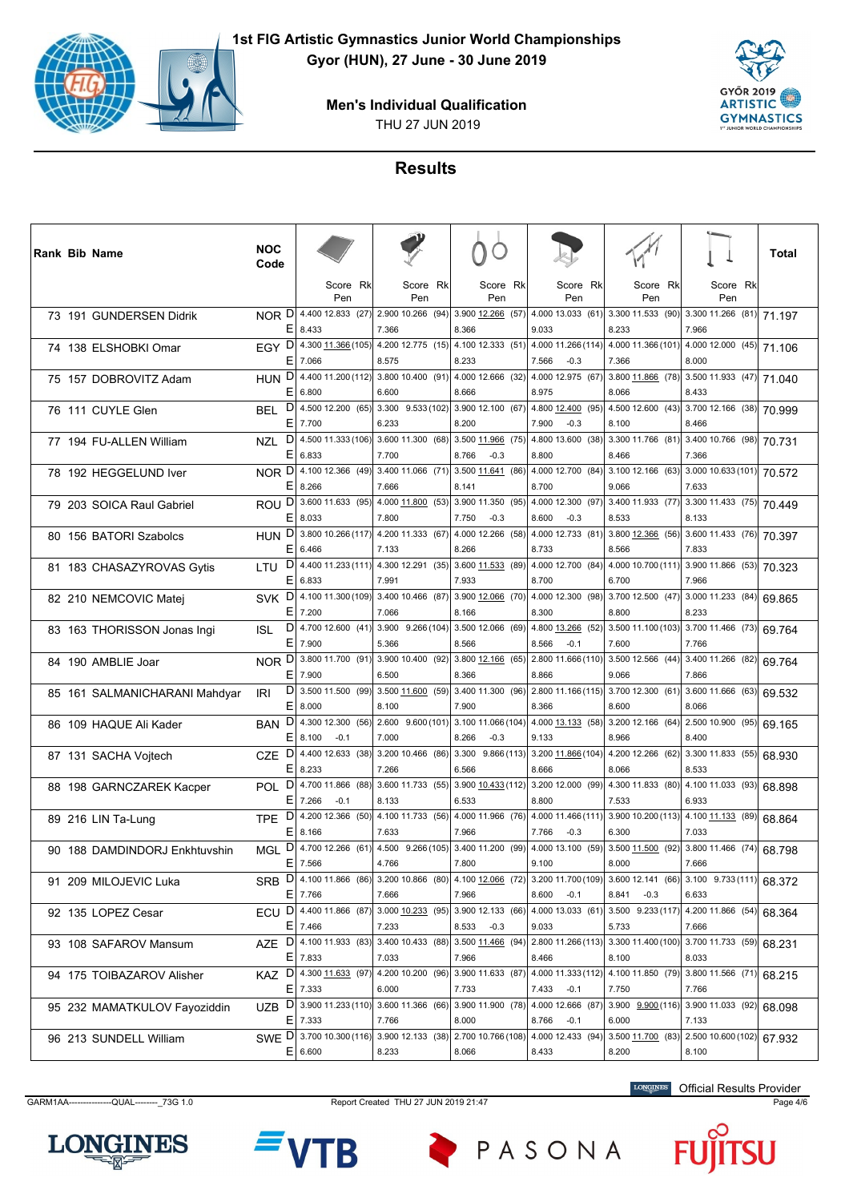



# **Results**

|  | <b>Rank Bib Name</b>          | <b>NOC</b><br>Code       |             |                       |                                                                       |                             |                 |                                                                                                                                           |                                                        |                                             | Total  |
|--|-------------------------------|--------------------------|-------------|-----------------------|-----------------------------------------------------------------------|-----------------------------|-----------------|-------------------------------------------------------------------------------------------------------------------------------------------|--------------------------------------------------------|---------------------------------------------|--------|
|  |                               |                          |             | Score Rk<br>Pen       | Score Rk<br>Pen                                                       |                             | Score Rk<br>Pen | Score Rk<br>Pen                                                                                                                           | Score Rk<br>Pen                                        | Score Rk<br>Pen                             |        |
|  | 73 191 GUNDERSEN Didrik       | NOR D<br>ΕI              | 8.433       | 4.400 12.833 (27)     | $2.900$ 10.266 (94)<br>7.366                                          | 3.900 12.266 (57)<br>8.366  |                 | $4.000$ 13.033 (61)<br>9.033                                                                                                              | 3.300 11.533 (90)<br>8.233                             | $3.300$ 11.266 (81)<br>7.966                | 71.197 |
|  | 74 138 ELSHOBKI Omar          | Е                        | 7.066       |                       | EGY D 4.300 11.366 (105) 4.200 12.775 (15) 4.100 12.333 (51)<br>8.575 | 8.233                       |                 | 4.000 11.266 (114)<br>7.566<br>$-0.3$                                                                                                     | 4.000 11.366 (101)<br>7.366                            | $4.00012.000(45)$ 71.106<br>8.000           |        |
|  | 75 157 DOBROVITZ Adam         | D<br><b>HUN</b><br>Е     | 6.800       |                       | 4.400 11.200 (112) 3.800 10.400 (91)<br>6.600                         | 4.000 12.666 (32)<br>8.666  |                 | 4.000 12.975 (67)<br>8.975                                                                                                                | 3.800 11.866 (78)<br>8.066                             | $3.500$ 11.933 (47) 71.040<br>8.433         |        |
|  | 76 111 CUYLE Glen             | D<br><b>BEL</b><br>Е     | 7.700       |                       | 4.500 12.200 (65) 3.300 9.533 (102)<br>6.233                          | 3.900 12.100 (67)<br>8.200  |                 | 4.800 12.400 (95)<br>$-0.3$<br>7.900                                                                                                      | 4.500 12.600 (43)<br>8.100                             | $3.700$ 12.166 (38) 70.999<br>8.466         |        |
|  | 77 194 FU-ALLEN William       | D<br><b>NZL</b><br>E     | 6.833       |                       | 4.500 11.333 (106) 3.600 11.300 (68)<br>7.700                         | 3.500 11.966 (75)<br>8.766  | $-0.3$          | 4.800 13.600 (38)<br>8.800                                                                                                                | 3.300 11.766 (81)<br>8.466                             | 3.400 10.766 (98) 70.731<br>7.366           |        |
|  | 78 192 HEGGELUND Iver         | NOR D<br>Е               | 8.266       | 4.100 12.366 (49)     | $3.400$ 11.066 (71)<br>7.666                                          | 3.500 11.641 (86)<br>8.141  |                 | 4.000 12.700 (84)<br>8.700                                                                                                                | 3.100 12.166 (63)<br>9.066                             | $3.00010.633(101)$ 70.572<br>7.633          |        |
|  | 79 203 SOICA Raul Gabriel     | ROU <sup>D</sup><br>ΕI   | 8.033       | 3.600 11.633 (95)     | $4.000$ 11.800 (53)<br>7.800                                          | 3.900 11.350 (95)<br>7.750  | $-0.3$          | 4.000 12.300 (97)<br>8.600<br>$-0.3$                                                                                                      | 3.400 11.933 (77)<br>8.533                             | 3.300 11.433 (75) 70.449<br>8.133           |        |
|  | 80 156 BATORI Szabolcs        | <b>HUN</b><br>E.         | 6.466       |                       | $D$ 3.800 10.266 (117) 4.200 11.333 (67)<br>7.133                     | 4.000 12.266 (58)<br>8.266  |                 | 4.000 12.733 (81)<br>8.733                                                                                                                | 3.800 12.366 (56)<br>8.566                             | $3.600$ 11.433 (76) 70.397<br>7.833         |        |
|  | 81 183 CHASAZYROVAS Gytis     | D<br>LTU<br>Е            | 6.833       | 4.400 11.233 (111)    | 4.300 12.291 (35) <br>7.991                                           | 3.600 11.533 (89)<br>7.933  |                 | 4.000 12.700 (84)<br>8.700                                                                                                                | 4.000 10.700 (111)<br>6.700                            | 3.900 11.866 (53) 70.323<br>7.966           |        |
|  | 82 210 NEMCOVIC Matej         | SVK <sup>D</sup><br>Е    | 7.200       |                       | 4.100 11.300 (109) 3.400 10.466 (87)<br>7.066                         | 3.900 12.066 (70)<br>8.166  |                 | 4.000 12.300 (98)<br>8.300                                                                                                                | $3.700$ 12.500 (47)<br>8.800                           | 3.000 11.233 (84)<br>8.233                  | 69.865 |
|  | 83 163 THORISSON Jonas Ingi   | D<br><b>ISL</b><br>Е     | 7.900       |                       | 4.700 12.600 (41) 3.900 9.266 (104) 3.500 12.066 (69)<br>5.366        | 8.566                       |                 | 4.800 13.266 (52)<br>8.566<br>$-0.1$                                                                                                      | 3.500 11.100 (103)<br>7.600                            | $3.70011.466$ (73) 69.764<br>7.766          |        |
|  | 84 190 AMBLIE Joar            | NOR <sub>D</sub><br>Е    | 7.900       | 3.800 11.700 (91)     | 3.900 10.400 (92)<br>6.500                                            | 3.800 12.166 (65)<br>8.366  |                 | 2.800 11.666 (110)<br>8.866                                                                                                               | $3.500$ 12.566 (44)<br>9.066                           | 3.400 11.266 (82)<br>7.866                  | 69.764 |
|  | 85 161 SALMANICHARANI Mahdyar | D<br>IRI<br>E.           | 8.000       |                       | 3.500 11.500 (99) 3.500 11.600 (59)<br>8.100                          | 3.400 11.300 (96)<br>7.900  |                 | 2.800 11.166 (115) 3.700 12.300 (61)<br>8.366                                                                                             | 8.600                                                  | 3.600 11.666 (63)<br>8.066                  | 69.532 |
|  | 86 109 HAQUE Ali Kader        | D<br><b>BAN</b><br>ΕI    | 8.100       | $-0.1$                | 4.300 12.300 (56) 2.600 9.600 (101) 3.100 11.066 (104)<br>7.000       | 8.266                       | $-0.3$          | 4.000 13.133 (58) 3.200 12.166 (64)<br>9.133                                                                                              | 8.966                                                  | 2.500 10.900 (95) 69.165<br>8.400           |        |
|  | 87 131 SACHA Vojtech          | D<br><b>CZE</b><br>Е     | 8.233       | 4.400 12.633 (38)     | $3.200$ 10.466 (86)<br>7.266                                          | 3.300 9.866 (113)<br>6.566  |                 | 3.200 11.866 (104)<br>8.666                                                                                                               | 4.200 12.266 (62)<br>8.066                             | $3.300$ 11.833 (55) 68.930<br>8.533         |        |
|  | 88 198 GARNCZAREK Kacper      | POL D<br>E.              | 7.266       | $-0.1$                | 4.700 11.866 (88) 3.600 11.733 (55)<br>8.133                          | 3.900 10.433 (112)<br>6.533 |                 | 3.200 12.000 (99)<br>8.800                                                                                                                | 4.300 11.833 (80)<br>7.533                             | 4.100 11.033 (93)<br>6.933                  | 68.898 |
|  | 89 216 LIN Ta-Lung            | TPE<br>E                 | 8.166       |                       | 7.633                                                                 | 7.966                       |                 | $D $ 4.200 12.366 (50) 4.100 11.733 (56) 4.000 11.966 (76) 4.000 11.466 (111)<br>7.766<br>$-0.3$                                          | $3.900 10.200(113) 4.100 11.133 (89) 68.864$<br>6.300  | 7.033                                       |        |
|  | 90 188 DAMDINDORJ Enkhtuvshin | D<br><b>MGL</b>          | $E$ 7.566   | 4.700 12.266 (61)     | 4.500 9.266 (105) 3.400 11.200 (99)<br>4.766                          | 7.800                       |                 | 4.000 13.100 (59)<br>9.100                                                                                                                | 3.500 11.500 (92)<br>8.000                             | $3.800$ 11.466 (74) 68.798<br>7.666         |        |
|  | 91 209 MILOJEVIC Luka         |                          | $E$ 7.766   |                       | 7.666                                                                 | 7.966                       |                 | SRB D 4.100 11.866 (86) 3.200 10.866 (80) 4.100 12.066 (72) 3.200 11.700 (109) 3.600 12.141 (66) 3.100 9.733 (111) 68.372<br>$8.600 -0.1$ | 8.841<br>$-0.3$                                        | 6.633                                       |        |
|  | 92 135 LOPEZ Cesar            |                          | $E$ 7.466   |                       | 7.233                                                                 | 8.533                       | $-0.3$          | ECU D 4.400 11.866 (87) 3.000 10.233 (95) 3.900 12.133 (66) 4.000 13.033 (61)<br>9.033                                                    | $3.500$ $9.233(117)$ 4.200 11.866 (54) 68.364<br>5.733 | 7.666                                       |        |
|  | 93 108 SAFAROV Mansum         | <b>AZE</b>               | $E$ 7.833   | $D$ 4.100 11.933 (83) | 3.40010.433(88)<br>7.033                                              | 3.500 11.466 (94)<br>7.966  |                 | 2.800 11.266 (113)<br>8.466                                                                                                               | 3.300 11.400 (100)<br>8.100                            | $3.700$ 11.733 (59)<br>8.033                | 68.231 |
|  | 94 175 TOIBAZAROV Alisher     | KAZ D 4.300 11.633 (97)  | $E$   7.333 |                       | 4.200 10.200 (96)<br>6.000                                            | 3.900 11.633 (87)<br>7.733  |                 | 4.000 11.333 (112)<br>7.433 -0.1                                                                                                          | 4.100 11.850 (79)<br>7.750                             | 3.800 11.566 (71)<br>7.766                  | 68.215 |
|  | 95 232 MAMATKULOV Fayoziddin  | UZB.                     | $E$   7.333 |                       | 7.766                                                                 | 8.000                       |                 | D 3.900 11.233 (110) 3.600 11.366 (66) 3.900 11.900 (78) 4.000 12.666 (87)<br>8.766<br>$-0.1$                                             | 3.900 $9.900(116)$<br>6.000                            | $\boxed{3.900}$ 11.033 (92) 68.098<br>7.133 |        |
|  | 96 213 SUNDELL William        | SWE D 3.700 10.300 (116) | E 6.600     |                       | 3.900 12.133 (38)<br>8.233                                            | 2.700 10.766 (108)<br>8.066 |                 | 4.000 12.433 (94)<br>8.433                                                                                                                | 3.500 11.700 (83)<br>8.200                             | $2.500$ 10.600 (102) 67.932<br>8.100        |        |

GARM1AA---------------QUAL--------\_73G 1.0 Report Created THU 27 JUN 2019 21:47 Page 4/6

LONGINES Official Results Provider

jU





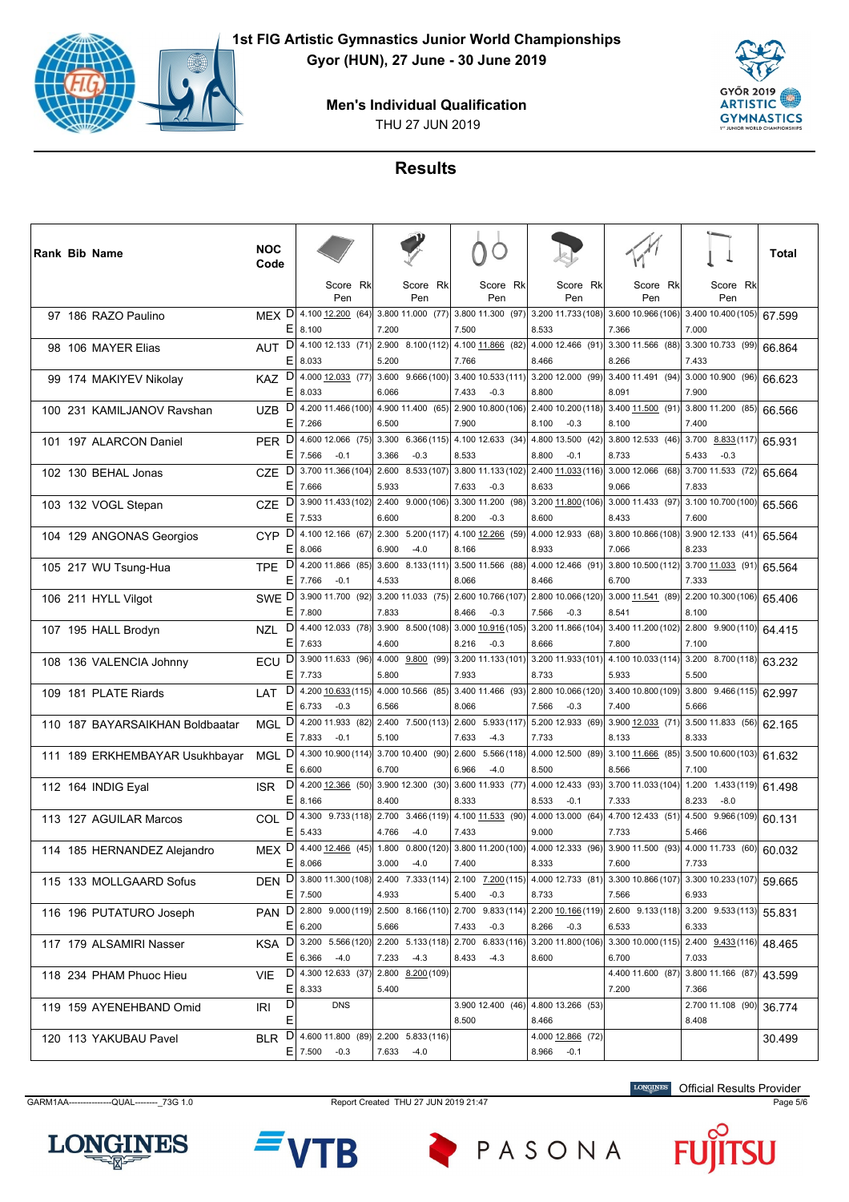



#### **Results**

|  | <b>Rank Bib Name</b>            | <b>NOC</b><br>Code                                          |             |                                                           |          |                |                                      |                |                                 |                                       |                                                                                                                                      |                                               | Total  |
|--|---------------------------------|-------------------------------------------------------------|-------------|-----------------------------------------------------------|----------|----------------|--------------------------------------|----------------|---------------------------------|---------------------------------------|--------------------------------------------------------------------------------------------------------------------------------------|-----------------------------------------------|--------|
|  |                                 |                                                             |             | Pen                                                       | Score Rk |                | Score Rk<br>Pen                      |                | Score Rk<br>Pen                 | Score Rk<br>Pen                       | Score Rk<br>Pen                                                                                                                      | Score Rk<br>Pen                               |        |
|  | 97 186 RAZO Paulino             | MEX D 4.100 12.200 (64)<br>Е                                | 8.100       |                                                           |          | 7.200          | 3.800 11.000 (77) 3.800 11.300 (97)  | 7.500          |                                 | 3.200 11.733 (108)<br>8.533           | 3.600 10.966 (106)<br>7.366                                                                                                          | 3.400 10.400 (105)<br>7.000                   | 67.599 |
|  | 98 106 MAYER Elias              | $\mathsf{D}$<br>AUT<br>Е                                    | 8.033       | 4.100 12.133 (71) 2.900 8.100 (112)                       |          | 5.200          |                                      | 7.766          | 4.100 11.866 (82)               | 4.000 12.466 (91)<br>8.466            | 3.300 11.566 (88)<br>8.266                                                                                                           | 3.300 10.733 (99)<br>7.433                    | 66.864 |
|  | 99 174 MAKIYEV Nikolay          | <b>KAZ</b><br>ΕI                                            | 8.033       | $D$   4.000 12.033 (77)  3.600 9.666 (100)                |          | 6.066          |                                      | 7.433          | 3.400 10.533 (111)<br>$-0.3$    | 3.200 12.000 (99)<br>8.800            | 3.400 11.491 (94)<br>8.091                                                                                                           | $3.000$ 10.900 (96) 66.623<br>7.900           |        |
|  | 100 231 KAMILJANOV Ravshan      | D<br>UZB.<br>Ε                                              | 7.266       | 4.200 11.466 (100) 4.900 11.400 (65)                      |          | 6.500          |                                      | 7.900          | 2.900 10.800 (106)              | 2.400 10.200 (118)<br>8.100<br>$-0.3$ | 3.400 11.500 (91)<br>8.100                                                                                                           | 3.800 11.200 (85)<br>7.400                    | 66.566 |
|  | 101 197 ALARCON Daniel          | D<br><b>PER</b>                                             | $E$   7.566 | 4.600 12.066 (75)<br>$-0.1$                               |          | 3.366          | $3.300 \quad 6.366(115)$<br>$-0.3$   | 8.533          | 4.100 12.633 (34)               | 4.800 13.500 (42)<br>8.800<br>$-0.1$  | 3.800 12.533 (46)<br>8.733                                                                                                           | 3.700 8.833 (117)<br>5.433<br>$-0.3$          | 65.931 |
|  | 102 130 BEHAL Jonas             | D<br><b>CZE</b><br>ΕI                                       | 7.666       | 3.700 11.366 (104)                                        |          | 5.933          | 2.600 8.533 (107) 3.800 11.133 (102) | 7.633          | $-0.3$                          | 2.400 11.033 (116)<br>8.633           | 3.000 12.066 (68)<br>9.066                                                                                                           | 3.700 11.533 (72)<br>7.833                    | 65.664 |
|  | 103 132 VOGL Stepan             | D<br><b>CZE</b><br>Ε                                        | 7.533       | 3.900 11.433 (102) 2.400 9.000 (106)                      |          | 6.600          |                                      | 8.200          | 3.300 11.200 (98)<br>$-0.3$     | 3.200 11.800 (106)<br>8.600           | 3.000 11.433 (97) 3.100 10.700 (100)<br>8.433                                                                                        | 7.600                                         | 65.566 |
|  | 104 129 ANGONAS Georgios        | D<br><b>CYP</b><br>Е                                        | 8.066       | 4.100 12.166 (67)                                         |          | 6.900          | 2.300 5.200 (117)<br>$-4.0$          | 8.166          | 4.100 12.266 (59)               | 4.000 12.933 (68)<br>8.933            | 3.800 10.866 (108)<br>7.066                                                                                                          | $3.900$ 12.133 (41) 65.564<br>8.233           |        |
|  | 105 217 WU Tsung-Hua            | <b>TPE</b>                                                  | $E$ 7.766   | $D$   4.200 11.866 (85)<br>$-0.1$                         |          | 3.600<br>4.533 | 8.133(111)                           | 8.066          | 3.500 11.566 (88)               | 4.000 12.466 (91)<br>8.466            | 3.800 10.500 (112)<br>6.700                                                                                                          | $\sqrt{3.700}$ 11.033 (91) 65.564<br>7.333    |        |
|  | 106 211 HYLL Vilgot             | SWE D<br>Е                                                  | 7.800       | 3.900 11.700 (92)                                         |          | 7.833          | $3.200$ 11.033 (75)                  | 8.466          | 2.600 10.766 (107)<br>$-0.3$    | 2.800 10.066 (120)<br>$-0.3$<br>7.566 | 3.000 11.541 (89)<br>8.541                                                                                                           | 2.200 10.300 (106)<br>8.100                   | 65.406 |
|  | 107 195 HALL Brodyn             | D<br>NZL                                                    | $E$ 7.633   | 4.400 12.033 (78)                                         |          | 4.600          | 3.900 8.500 (108)                    | 8.216          | 3.000 10.916 (105)<br>$-0.3$    | 3.200 11.866 (104)                    | 3.400 11.200 (102)<br>7.800                                                                                                          | $2.800$ 9.900 (110) 64.415<br>7.100           |        |
|  | 108 136 VALENCIA Johnny         | D<br>ECU                                                    | $E$ 7.733   | 3.900 11.633 (96)                                         |          | 4.000          |                                      |                | $9.800$ (99) 3.200 11.133 (101) | 8.666<br>3.200 11.933 (101)           | 4.100 10.033 (114)                                                                                                                   | $3.200$ 8.700 (118) 63.232                    |        |
|  | 109 181 PLATE Riards            | D<br>LAT                                                    |             | 4.200 10.633 (115) 4.000 10.566 (85)                      |          | 5.800          |                                      | 7.933          | 3.400 11.466 (93)               | 8.733<br>2.800 10.066 (120)           | 5.933<br>3.400 10.800 (109)                                                                                                          | 5.500<br>$3.800$ 9.466 (115) 62.997           |        |
|  | 110 187 BAYARSAIKHAN Boldbaatar | Ε<br>D<br>MGL                                               | 6.733       | $-0.3$<br>4.200 11.933 (82)                               |          | 6.566          | $2.400$ 7.500 (113)                  | 8.066          | 2.600 5.933 (117)               | 7.566<br>$-0.3$<br>5.200 12.933 (69)  | 7.400<br>3.900 12.033 (71)                                                                                                           | 5.666<br>$3.500$ 11.833 (56) 62.165           |        |
|  | 111 189 ERKHEMBAYAR Usukhbayar  | D<br><b>MGL</b>                                             | E 7.833     | $-0.1$<br>4.300 10.900 (114) 3.700 10.400 (90)            |          | 5.100          |                                      | 7.633<br>2.600 | $-4.3$<br>5.566(118)            | 7.733<br>4.000 12.500 (89)            | 8.133<br>3.100 11.666 (85)                                                                                                           | 8.333<br>$\boxed{3.500}$ 10.600 (103) 61.632  |        |
|  | 112 164 INDIG Eyal              | ΕI<br>D<br><b>ISR</b>                                       | 6.600       | 4.200 12.366 (50) 3.900 12.300 (30)                       |          | 6.700          |                                      | 6.966          | $-4.0$<br>3.600 11.933 (77)     | 8.500<br>4.000 12.433 (93)            | 8.566<br>3.700 11.033 (104)                                                                                                          | 7.100<br>$1.200$ $1.433(119)$ 61.498          |        |
|  | 113 127 AGUILAR Marcos          | Ε<br>D<br>COL                                               | 8.166       | 4.300 9.733 (118) 2.700 3.466 (119)                       |          | 8.400          |                                      | 8.333          | 4.100 11.533 (90)               | 8.533<br>$-0.1$<br>4.000 13.000 (64)  | 7.333<br>4.700 12.433 (51)                                                                                                           | 8.233<br>$-8.0$<br>$4.500$ 9.966 (109) 60.131 |        |
|  | 114 185 HERNANDEZ Alejandro     | D<br><b>MEX</b>                                             | $E$ 5.433   | 4.400 12.466 (45)                                         |          | 4.766<br>1.800 | $-4.0$<br>0.800(120)                 | 7.433          | 3.800 11.200 (100)              | 9.000<br>4.000 12.333 (96)            | 7.733<br>3.900 11.500 (93)                                                                                                           | 5.466<br>$4.000$ 11.733 (60) 60.032           |        |
|  | 115 133 MOLLGAARD Sofus         |                                                             | E 8.066     |                                                           |          | 3.000          | $-4.0$                               | 7.400          |                                 | 8.333                                 | 7.600<br>DEN D 3.800 11.300 (108) 2.400 7.333 (114) 2.100 7.200 (115) 4.000 12.733 (81) 3.300 10.866 (107) 3.300 10.233 (107) 59 665 | 7.733                                         |        |
|  | 116 196 PUTATURO Joseph         | PAN D 2.800 9.000 (119) 2.500 8.166 (110) 2.700 9.833 (114) | $E$ 7.500   |                                                           |          | 4.933          |                                      | 5.400          | $-0.3$                          | 8.733<br>2.200 10.166 (119)           | 7.566<br>$\boxed{2.600 \ \ 9.133(118) \ \ 3.200 \ \ 9.533(113) \ \ 55.831}$                                                          | 6.933                                         |        |
|  | 117 179 ALSAMIRI Nasser         | <b>KSA</b>                                                  | $E$ 6.200   | $D$ 3.200 5.566 (120) 2.200 5.133 (118) 2.700 6.833 (116) |          | 5.666          |                                      | 7.433          | $-0.3$                          | 8.266 -0.3<br>3.200 11.800 (106)      | 6.533<br>$\left  \frac{3.300\ 10.000(115)}{2.400} \right $ 2.400 $\left  \frac{9.433(116)}{48.465} \right $                          | 6.333                                         |        |
|  | 118 234 PHAM Phuoc Hieu         | VIE.                                                        |             | $E 6.366 - 4.0$<br>D 4.300 12.633 (37) 2.800 8.200 (109)  |          | 7.233          | $-4.3$                               | 8.433          | $-4.3$                          | 8.600                                 | 6.700<br>4.400 11.600 (87)                                                                                                           | 7.033<br>3.800 11.166 (87) 43.599             |        |
|  | 119 159 AYENEHBAND Omid         | E.<br>D<br>IRI                                              | 8.333       | <b>DNS</b>                                                |          | 5.400          |                                      |                |                                 | 3.900 12.400 (46) 4.800 13.266 (53)   | 7.200                                                                                                                                | 7.366<br>2.700 11.108 (90) 36.774             |        |
|  | 120 113 YAKUBAU Pavel           | Е<br><b>BLR</b>                                             |             | $D$ 4.600 11.800 (89) 2.200 5.833 (116)                   |          |                |                                      | 8.500          |                                 | 8.466<br>4.000 12.866 (72)            |                                                                                                                                      | 8.408                                         | 30.499 |
|  |                                 |                                                             |             | $E$ 7.500 -0.3                                            |          |                | 7.633 -4.0                           |                |                                 | 8.966 -0.1                            |                                                                                                                                      |                                               |        |

GARM1AA---------------QUAL--------\_73G 1.0 Report Created THU 27 JUN 2019 21:47 Page 5/6

Official Results Provider





PASONA